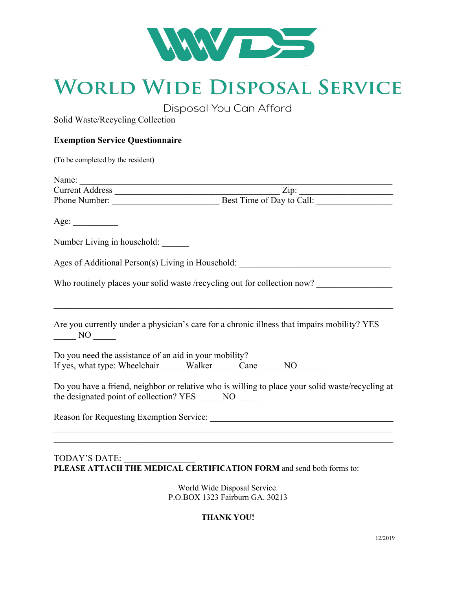

# **WORLD WIDE DISPOSAL SERVICE**

Disposal You Can Afford

Solid Waste/Recycling Collection

### **Exemption Service Questionnaire**

| (To be completed by the resident)                                                                                                                                                                                               |
|---------------------------------------------------------------------------------------------------------------------------------------------------------------------------------------------------------------------------------|
| Name:                                                                                                                                                                                                                           |
|                                                                                                                                                                                                                                 |
| Phone Number: Best Time of Day to Call:                                                                                                                                                                                         |
| Age:                                                                                                                                                                                                                            |
| Number Living in household:                                                                                                                                                                                                     |
|                                                                                                                                                                                                                                 |
| Who routinely places your solid waste /recycling out for collection now?                                                                                                                                                        |
| Are you currently under a physician's care for a chronic illness that impairs mobility? YES<br>$\frac{N}{1}$ NO $\frac{N}{1}$                                                                                                   |
| Do you need the assistance of an aid in your mobility?<br>If yes, what type: Wheelchair ______ Walker ______ Cane ______ NO_______                                                                                              |
| Do you have a friend, neighbor or relative who is willing to place your solid waste/recycling at<br>the designated point of collection? YES _______ NO ______                                                                   |
| Reason for Requesting Exemption Service:<br>Service: Service: Service: Service: Service: Service: Service: Service: Service: Service: Service: Service: Service: Service: Service: Service: Service: Service: Service: Service: |
|                                                                                                                                                                                                                                 |

#### TODAY'S DATE: **PLEASE ATTACH THE MEDICAL CERTIFICATION FORM** and send both forms to:

World Wide Disposal Service. P.O.BOX 1323 Fairburn GA. 30213

#### **THANK YOU!**